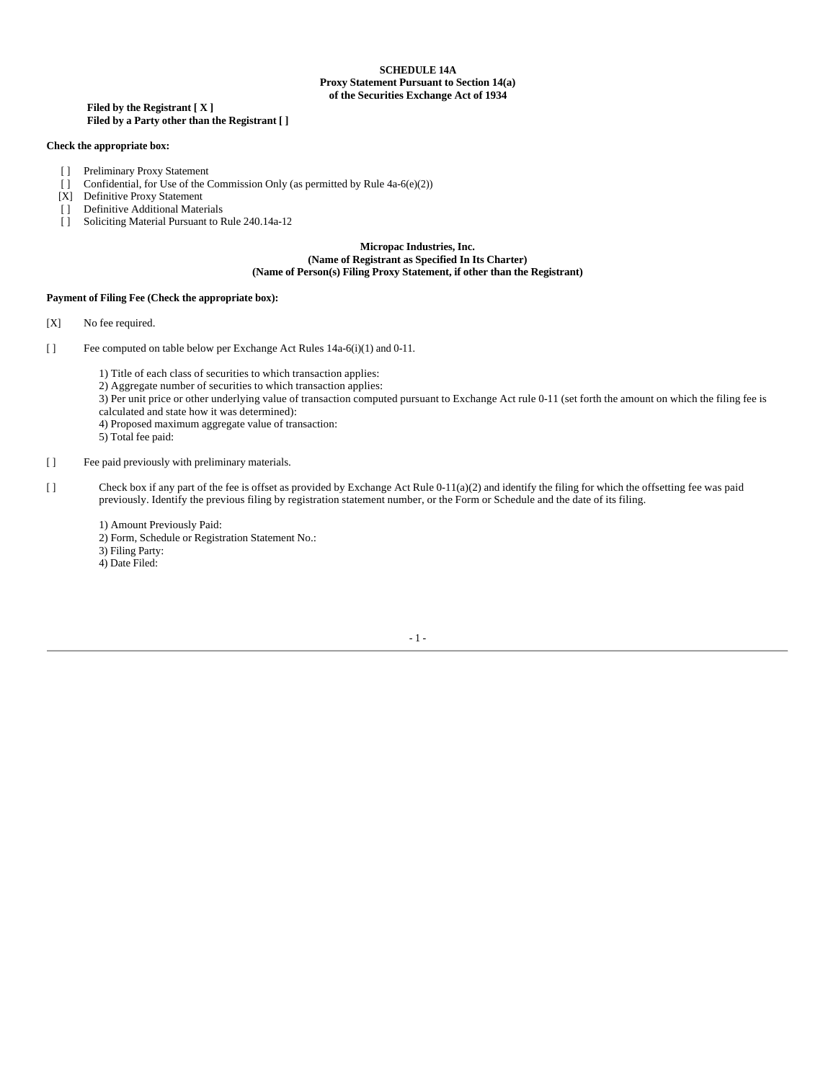# **SCHEDULE 14A Proxy Statement Pursuant to Section 14(a) of the Securities Exchange Act of 1934**

## **Filed by the Registrant [ X ] Filed by a Party other than the Registrant [ ]**

## **Check the appropriate box:**

- [ ] Preliminary Proxy Statement
- $\lceil \cdot \rceil$  Confidential, for Use of the Commission Only (as permitted by Rule 4a-6(e)(2))
- [X] Definitive Proxy Statement
- [ ] Definitive Additional Materials
- [ ] Soliciting Material Pursuant to Rule 240.14a-12

## **Micropac Industries, Inc. (Name of Registrant as Specified In Its Charter) (Name of Person(s) Filing Proxy Statement, if other than the Registrant)**

## **Payment of Filing Fee (Check the appropriate box):**

- [X] No fee required.
- [ ] Fee computed on table below per Exchange Act Rules 14a-6(i)(1) and 0-11.
	- 1) Title of each class of securities to which transaction applies:
	- 2) Aggregate number of securities to which transaction applies:
	- 3) Per unit price or other underlying value of transaction computed pursuant to Exchange Act rule 0-11 (set forth the amount on which the filing fee is
	- calculated and state how it was determined):
	- 4) Proposed maximum aggregate value of transaction:
	- 5) Total fee paid:
- [ ] Fee paid previously with preliminary materials.
- [ ] Check box if any part of the fee is offset as provided by Exchange Act Rule 0-11(a)(2) and identify the filing for which the offsetting fee was paid previously. Identify the previous filing by registration statement number, or the Form or Schedule and the date of its filing.
	- 1) Amount Previously Paid:
	- 2) Form, Schedule or Registration Statement No.:
	- 3) Filing Party:
	- 4) Date Filed: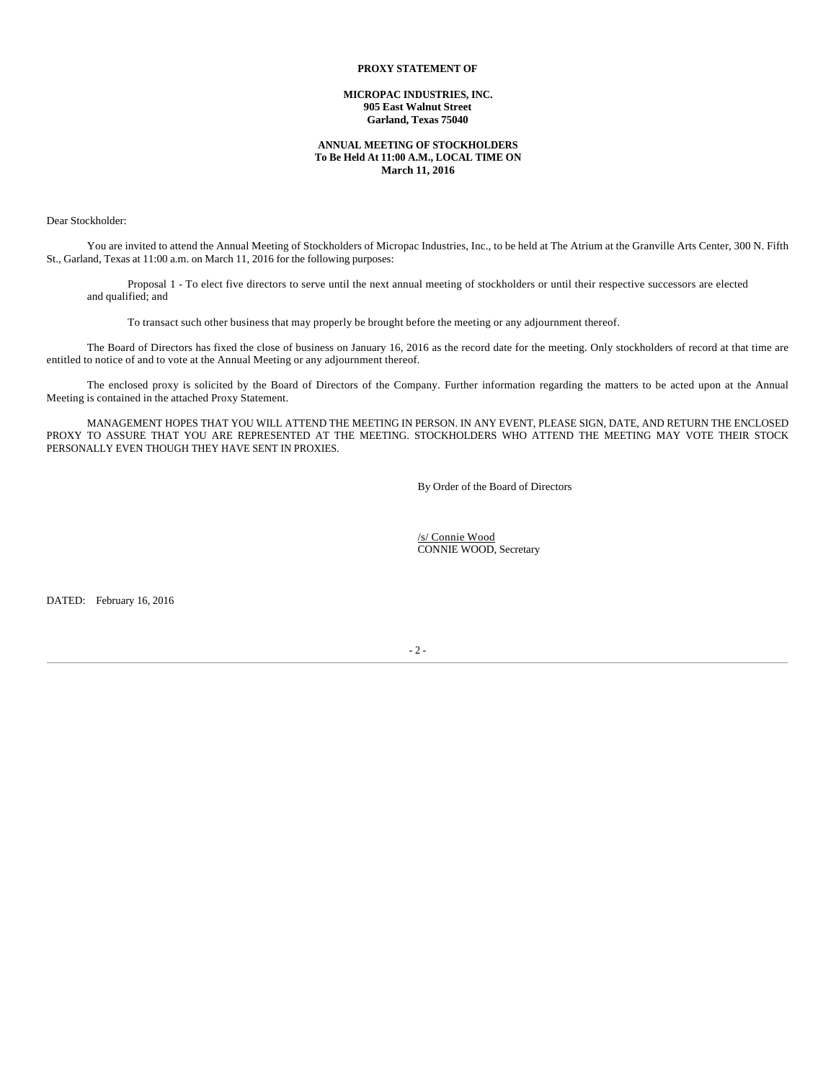# **PROXY STATEMENT OF**

## **MICROPAC INDUSTRIES, INC. 905 East Walnut Street Garland, Texas 75040**

# **ANNUAL MEETING OF STOCKHOLDERS To Be Held At 11:00 A.M., LOCAL TIME ON March 11, 2016**

Dear Stockholder:

You are invited to attend the Annual Meeting of Stockholders of Micropac Industries, Inc., to be held at The Atrium at the Granville Arts Center, 300 N. Fifth St., Garland, Texas at 11:00 a.m. on March 11, 2016 for the following purposes:

Proposal 1 - To elect five directors to serve until the next annual meeting of stockholders or until their respective successors are elected and qualified; and

To transact such other business that may properly be brought before the meeting or any adjournment thereof.

The Board of Directors has fixed the close of business on January 16, 2016 as the record date for the meeting. Only stockholders of record at that time are entitled to notice of and to vote at the Annual Meeting or any adjournment thereof.

The enclosed proxy is solicited by the Board of Directors of the Company. Further information regarding the matters to be acted upon at the Annual Meeting is contained in the attached Proxy Statement.

MANAGEMENT HOPES THAT YOU WILL ATTEND THE MEETING IN PERSON. IN ANY EVENT, PLEASE SIGN, DATE, AND RETURN THE ENCLOSED PROXY TO ASSURE THAT YOU ARE REPRESENTED AT THE MEETING. STOCKHOLDERS WHO ATTEND THE MEETING MAY VOTE THEIR STOCK PERSONALLY EVEN THOUGH THEY HAVE SENT IN PROXIES.

By Order of the Board of Directors

 /s/ Connie Wood CONNIE WOOD, Secretary

DATED: February 16, 2016

- 2 -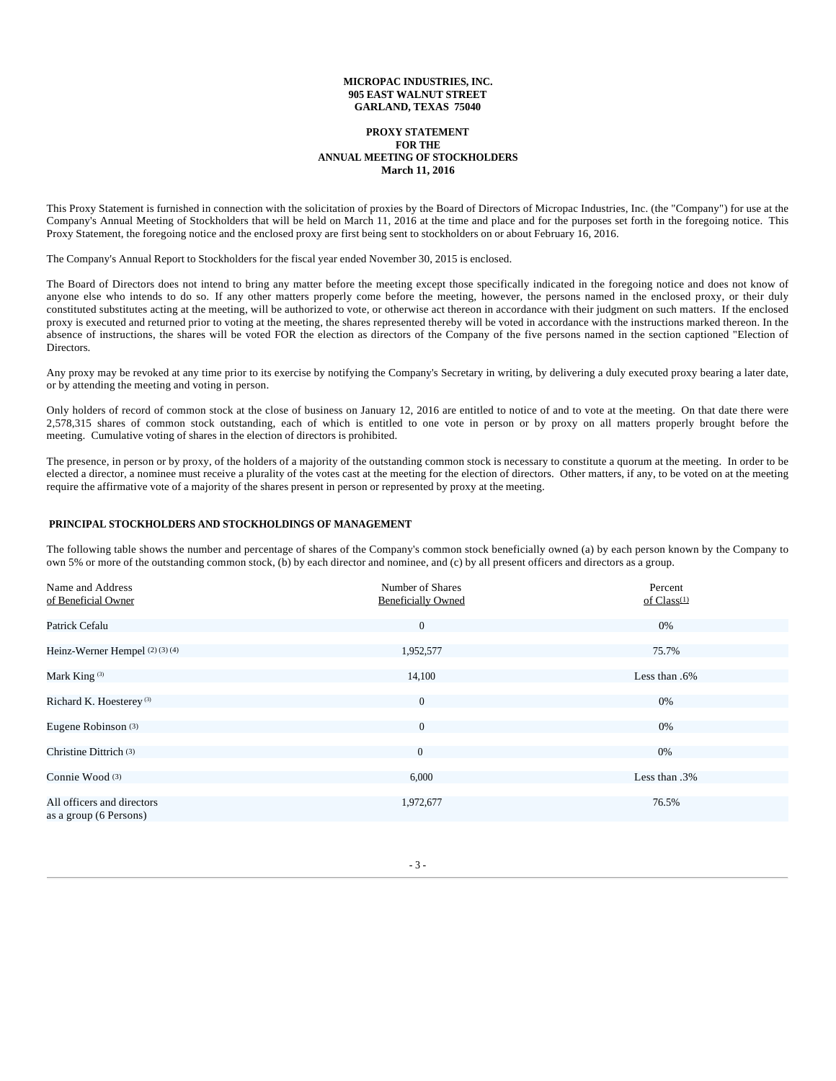# **MICROPAC INDUSTRIES, INC. 905 EAST WALNUT STREET GARLAND, TEXAS 75040**

## **PROXY STATEMENT FOR THE ANNUAL MEETING OF STOCKHOLDERS March 11, 2016**

This Proxy Statement is furnished in connection with the solicitation of proxies by the Board of Directors of Micropac Industries, Inc. (the "Company") for use at the Company's Annual Meeting of Stockholders that will be held on March 11, 2016 at the time and place and for the purposes set forth in the foregoing notice. This Proxy Statement, the foregoing notice and the enclosed proxy are first being sent to stockholders on or about February 16, 2016.

The Company's Annual Report to Stockholders for the fiscal year ended November 30, 2015 is enclosed.

The Board of Directors does not intend to bring any matter before the meeting except those specifically indicated in the foregoing notice and does not know of anyone else who intends to do so. If any other matters properly come before the meeting, however, the persons named in the enclosed proxy, or their duly constituted substitutes acting at the meeting, will be authorized to vote, or otherwise act thereon in accordance with their judgment on such matters. If the enclosed proxy is executed and returned prior to voting at the meeting, the shares represented thereby will be voted in accordance with the instructions marked thereon. In the absence of instructions, the shares will be voted FOR the election as directors of the Company of the five persons named in the section captioned "Election of Directors.

Any proxy may be revoked at any time prior to its exercise by notifying the Company's Secretary in writing, by delivering a duly executed proxy bearing a later date, or by attending the meeting and voting in person.

Only holders of record of common stock at the close of business on January 12, 2016 are entitled to notice of and to vote at the meeting. On that date there were 2,578,315 shares of common stock outstanding, each of which is entitled to one vote in person or by proxy on all matters properly brought before the meeting. Cumulative voting of shares in the election of directors is prohibited.

The presence, in person or by proxy, of the holders of a majority of the outstanding common stock is necessary to constitute a quorum at the meeting. In order to be elected a director, a nominee must receive a plurality of the votes cast at the meeting for the election of directors. Other matters, if any, to be voted on at the meeting require the affirmative vote of a majority of the shares present in person or represented by proxy at the meeting.

# **PRINCIPAL STOCKHOLDERS AND STOCKHOLDINGS OF MANAGEMENT**

The following table shows the number and percentage of shares of the Company's common stock beneficially owned (a) by each person known by the Company to own 5% or more of the outstanding common stock, (b) by each director and nominee, and (c) by all present officers and directors as a group.

| Name and Address                                     | Number of Shares          | Percent       |
|------------------------------------------------------|---------------------------|---------------|
| of Beneficial Owner                                  | <b>Beneficially Owned</b> | of Class(1)   |
| Patrick Cefalu                                       | $\overline{0}$            | 0%            |
| Heinz-Werner Hempel (2)(3)(4)                        | 1,952,577                 | 75.7%         |
| Mark King <sup>(3)</sup>                             | 14,100                    | Less than .6% |
| Richard K. Hoesterey <sup>(3)</sup>                  | $\mathbf{0}$              | 0%            |
| Eugene Robinson (3)                                  | $\overline{0}$            | 0%            |
| Christine Dittrich <sup>(3)</sup>                    | $\overline{0}$            | 0%            |
| Connie Wood (3)                                      | 6,000                     | Less than .3% |
| All officers and directors<br>as a group (6 Persons) | 1,972,677                 | 76.5%         |

- 3 -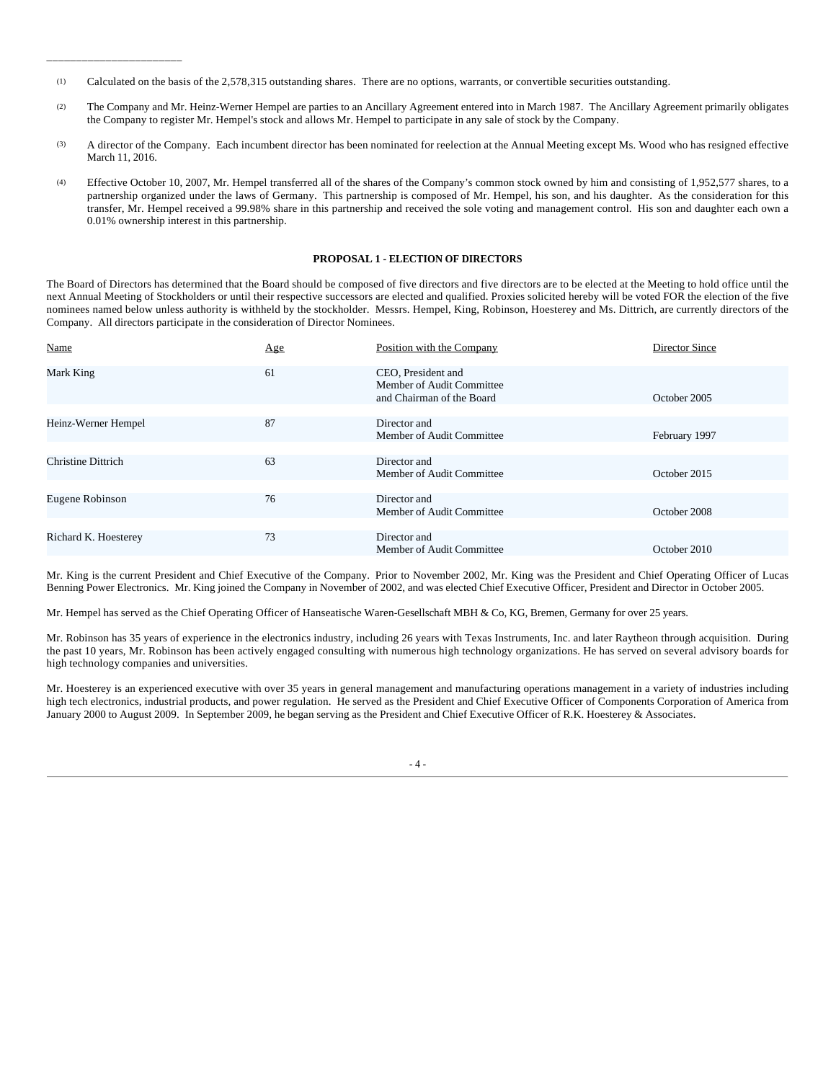(1) Calculated on the basis of the 2,578,315 outstanding shares. There are no options, warrants, or convertible securities outstanding.

\_\_\_\_\_\_\_\_\_\_\_\_\_\_\_\_\_\_\_\_\_\_\_

- (2) The Company and Mr. Heinz-Werner Hempel are parties to an Ancillary Agreement entered into in March 1987. The Ancillary Agreement primarily obligates the Company to register Mr. Hempel's stock and allows Mr. Hempel to participate in any sale of stock by the Company.
- (3) A director of the Company. Each incumbent director has been nominated for reelection at the Annual Meeting except Ms. Wood who has resigned effective March 11, 2016.
- (4) Effective October 10, 2007, Mr. Hempel transferred all of the shares of the Company's common stock owned by him and consisting of 1,952,577 shares, to a partnership organized under the laws of Germany. This partnership is composed of Mr. Hempel, his son, and his daughter. As the consideration for this transfer, Mr. Hempel received a 99.98% share in this partnership and received the sole voting and management control. His son and daughter each own a 0.01% ownership interest in this partnership.

## **PROPOSAL 1 - ELECTION OF DIRECTORS**

The Board of Directors has determined that the Board should be composed of five directors and five directors are to be elected at the Meeting to hold office until the next Annual Meeting of Stockholders or until their respective successors are elected and qualified. Proxies solicited hereby will be voted FOR the election of the five nominees named below unless authority is withheld by the stockholder. Messrs. Hempel, King, Robinson, Hoesterey and Ms. Dittrich, are currently directors of the Company. All directors participate in the consideration of Director Nominees.

| Name                      | Age | Position with the Company                                                    | Director Since |
|---------------------------|-----|------------------------------------------------------------------------------|----------------|
| Mark King                 | 61  | CEO, President and<br>Member of Audit Committee<br>and Chairman of the Board | October 2005   |
| Heinz-Werner Hempel       | 87  | Director and<br>Member of Audit Committee                                    | February 1997  |
| <b>Christine Dittrich</b> | 63  | Director and<br>Member of Audit Committee                                    | October 2015   |
| Eugene Robinson           | 76  | Director and<br>Member of Audit Committee                                    | October 2008   |
| Richard K. Hoesterey      | 73  | Director and<br>Member of Audit Committee                                    | October 2010   |

Mr. King is the current President and Chief Executive of the Company. Prior to November 2002, Mr. King was the President and Chief Operating Officer of Lucas Benning Power Electronics. Mr. King joined the Company in November of 2002, and was elected Chief Executive Officer, President and Director in October 2005.

Mr. Hempel has served as the Chief Operating Officer of Hanseatische Waren-Gesellschaft MBH & Co, KG, Bremen, Germany for over 25 years.

Mr. Robinson has 35 years of experience in the electronics industry, including 26 years with Texas Instruments, Inc. and later Raytheon through acquisition. During the past 10 years, Mr. Robinson has been actively engaged consulting with numerous high technology organizations. He has served on several advisory boards for high technology companies and universities.

Mr. Hoesterey is an experienced executive with over 35 years in general management and manufacturing operations management in a variety of industries including high tech electronics, industrial products, and power regulation. He served as the President and Chief Executive Officer of Components Corporation of America from January 2000 to August 2009. In September 2009, he began serving as the President and Chief Executive Officer of R.K. Hoesterey & Associates.

 $-4-$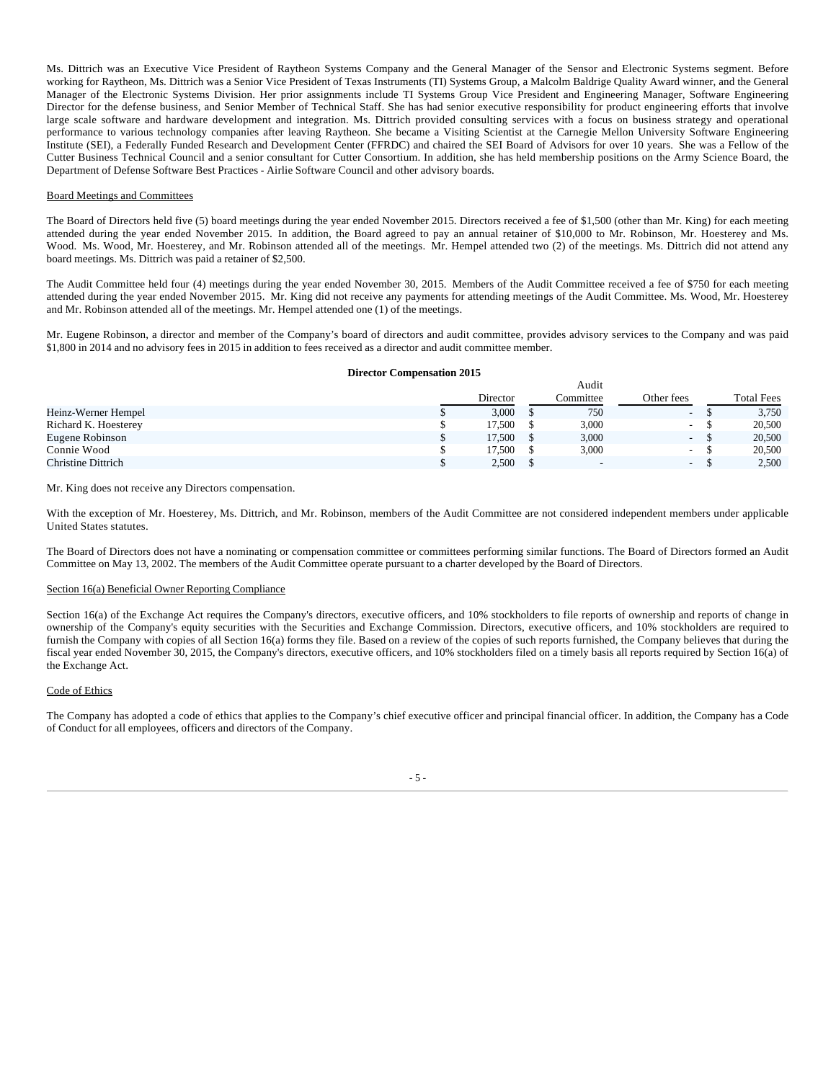Ms. Dittrich was an Executive Vice President of Raytheon Systems Company and the General Manager of the Sensor and Electronic Systems segment. Before working for Raytheon, Ms. Dittrich was a Senior Vice President of Texas Instruments (TI) Systems Group, a Malcolm Baldrige Quality Award winner, and the General Manager of the Electronic Systems Division. Her prior assignments include TI Systems Group Vice President and Engineering Manager, Software Engineering Director for the defense business, and Senior Member of Technical Staff. She has had senior executive responsibility for product engineering efforts that involve large scale software and hardware development and integration. Ms. Dittrich provided consulting services with a focus on business strategy and operational performance to various technology companies after leaving Raytheon. She became a Visiting Scientist at the Carnegie Mellon University Software Engineering Institute (SEI), a Federally Funded Research and Development Center (FFRDC) and chaired the SEI Board of Advisors for over 10 years. She was a Fellow of the Cutter Business Technical Council and a senior consultant for Cutter Consortium. In addition, she has held membership positions on the Army Science Board, the Department of Defense Software Best Practices - Airlie Software Council and other advisory boards.

### Board Meetings and Committees

The Board of Directors held five (5) board meetings during the year ended November 2015. Directors received a fee of \$1,500 (other than Mr. King) for each meeting attended during the year ended November 2015. In addition, the Board agreed to pay an annual retainer of \$10,000 to Mr. Robinson, Mr. Hoesterey and Ms. Wood. Ms. Wood, Mr. Hoesterey, and Mr. Robinson attended all of the meetings. Mr. Hempel attended two (2) of the meetings. Ms. Dittrich did not attend any board meetings. Ms. Dittrich was paid a retainer of \$2,500.

The Audit Committee held four (4) meetings during the year ended November 30, 2015. Members of the Audit Committee received a fee of \$750 for each meeting attended during the year ended November 2015. Mr. King did not receive any payments for attending meetings of the Audit Committee. Ms. Wood, Mr. Hoesterey and Mr. Robinson attended all of the meetings. Mr. Hempel attended one (1) of the meetings.

Mr. Eugene Robinson, a director and member of the Company's board of directors and audit committee, provides advisory services to the Company and was paid \$1,800 in 2014 and no advisory fees in 2015 in addition to fees received as a director and audit committee member.

### **Director Compensation 2015**

|                      | Audit |          |  |           |                          |  |                   |
|----------------------|-------|----------|--|-----------|--------------------------|--|-------------------|
|                      |       | Director |  | Committee | Other fees               |  | <b>Total Fees</b> |
| Heinz-Werner Hempel  |       | 3,000    |  | 750       | $\overline{\phantom{0}}$ |  | 3,750             |
| Richard K. Hoesterey |       | 17.500   |  | 3,000     | $\overline{\phantom{a}}$ |  | 20,500            |
| Eugene Robinson      |       | 17.500   |  | 3,000     | ۰.                       |  | 20,500            |
| Connie Wood          |       | 17.500   |  | 3,000     | н.                       |  | 20,500            |
| Christine Dittrich   |       | 2,500    |  | -         | $\sim$                   |  | 2,500             |

Mr. King does not receive any Directors compensation.

With the exception of Mr. Hoesterey, Ms. Dittrich, and Mr. Robinson, members of the Audit Committee are not considered independent members under applicable United States statutes.

The Board of Directors does not have a nominating or compensation committee or committees performing similar functions. The Board of Directors formed an Audit Committee on May 13, 2002. The members of the Audit Committee operate pursuant to a charter developed by the Board of Directors.

#### Section 16(a) Beneficial Owner Reporting Compliance

Section 16(a) of the Exchange Act requires the Company's directors, executive officers, and 10% stockholders to file reports of ownership and reports of change in ownership of the Company's equity securities with the Securities and Exchange Commission. Directors, executive officers, and 10% stockholders are required to furnish the Company with copies of all Section 16(a) forms they file. Based on a review of the copies of such reports furnished, the Company believes that during the fiscal year ended November 30, 2015, the Company's directors, executive officers, and 10% stockholders filed on a timely basis all reports required by Section 16(a) of the Exchange Act.

#### Code of Ethics

The Company has adopted a code of ethics that applies to the Company's chief executive officer and principal financial officer. In addition, the Company has a Code of Conduct for all employees, officers and directors of the Company.

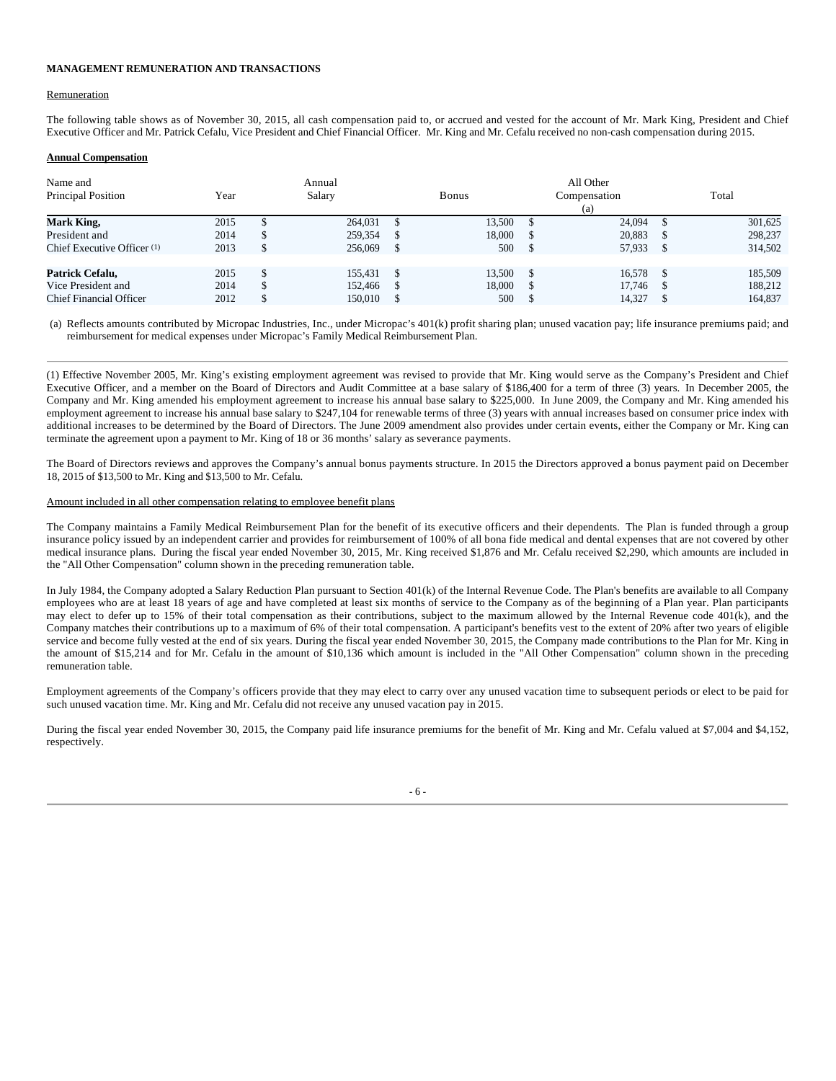## **MANAGEMENT REMUNERATION AND TRANSACTIONS**

#### Remuneration

The following table shows as of November 30, 2015, all cash compensation paid to, or accrued and vested for the account of Mr. Mark King, President and Chief Executive Officer and Mr. Patrick Cefalu, Vice President and Chief Financial Officer. Mr. King and Mr. Cefalu received no non-cash compensation during 2015.

## **Annual Compensation**

| Name and<br>Principal Position | Year | Annual<br>Salary |         |    | Bonus  | All Other<br>Compensation<br>(a) | Total |         |
|--------------------------------|------|------------------|---------|----|--------|----------------------------------|-------|---------|
| Mark King,                     | 2015 |                  | 264,031 | S. | 13,500 | 24,094                           |       | 301,625 |
| President and                  | 2014 |                  | 259,354 |    | 18.000 | 20,883                           |       | 298,237 |
| Chief Executive Officer (1)    | 2013 |                  | 256,069 |    | 500    | 57,933                           |       | 314,502 |
|                                |      |                  |         |    |        |                                  |       |         |
| Patrick Cefalu,                | 2015 |                  | 155.431 | S. | 13.500 | 16.578                           |       | 185,509 |
| Vice President and             | 2014 |                  | 152.466 |    | 18.000 | 17.746                           |       | 188,212 |
| <b>Chief Financial Officer</b> | 2012 |                  | 150.010 |    | 500    | 14.327                           |       | 164,837 |

(a) Reflects amounts contributed by Micropac Industries, Inc., under Micropac's 401(k) profit sharing plan; unused vacation pay; life insurance premiums paid; and reimbursement for medical expenses under Micropac's Family Medical Reimbursement Plan.

(1) Effective November 2005, Mr. King's existing employment agreement was revised to provide that Mr. King would serve as the Company's President and Chief Executive Officer, and a member on the Board of Directors and Audit Committee at a base salary of \$186,400 for a term of three (3) years. In December 2005, the Company and Mr. King amended his employment agreement to increase his annual base salary to \$225,000. In June 2009, the Company and Mr. King amended his employment agreement to increase his annual base salary to \$247,104 for renewable terms of three (3) years with annual increases based on consumer price index with additional increases to be determined by the Board of Directors. The June 2009 amendment also provides under certain events, either the Company or Mr. King can terminate the agreement upon a payment to Mr. King of 18 or 36 months' salary as severance payments.

The Board of Directors reviews and approves the Company's annual bonus payments structure. In 2015 the Directors approved a bonus payment paid on December 18, 2015 of \$13,500 to Mr. King and \$13,500 to Mr. Cefalu.

## Amount included in all other compensation relating to employee benefit plans

The Company maintains a Family Medical Reimbursement Plan for the benefit of its executive officers and their dependents. The Plan is funded through a group insurance policy issued by an independent carrier and provides for reimbursement of 100% of all bona fide medical and dental expenses that are not covered by other medical insurance plans. During the fiscal year ended November 30, 2015, Mr. King received \$1,876 and Mr. Cefalu received \$2,290, which amounts are included in the "All Other Compensation" column shown in the preceding remuneration table.

In July 1984, the Company adopted a Salary Reduction Plan pursuant to Section 401(k) of the Internal Revenue Code. The Plan's benefits are available to all Company employees who are at least 18 years of age and have completed at least six months of service to the Company as of the beginning of a Plan year. Plan participants may elect to defer up to 15% of their total compensation as their contributions, subject to the maximum allowed by the Internal Revenue code 401(k), and the Company matches their contributions up to a maximum of 6% of their total compensation. A participant's benefits vest to the extent of 20% after two years of eligible service and become fully vested at the end of six years. During the fiscal year ended November 30, 2015, the Company made contributions to the Plan for Mr. King in the amount of \$15,214 and for Mr. Cefalu in the amount of \$10,136 which amount is included in the "All Other Compensation" column shown in the preceding remuneration table.

Employment agreements of the Company's officers provide that they may elect to carry over any unused vacation time to subsequent periods or elect to be paid for such unused vacation time. Mr. King and Mr. Cefalu did not receive any unused vacation pay in 2015.

During the fiscal year ended November 30, 2015, the Company paid life insurance premiums for the benefit of Mr. King and Mr. Cefalu valued at \$7,004 and \$4,152, respectively.

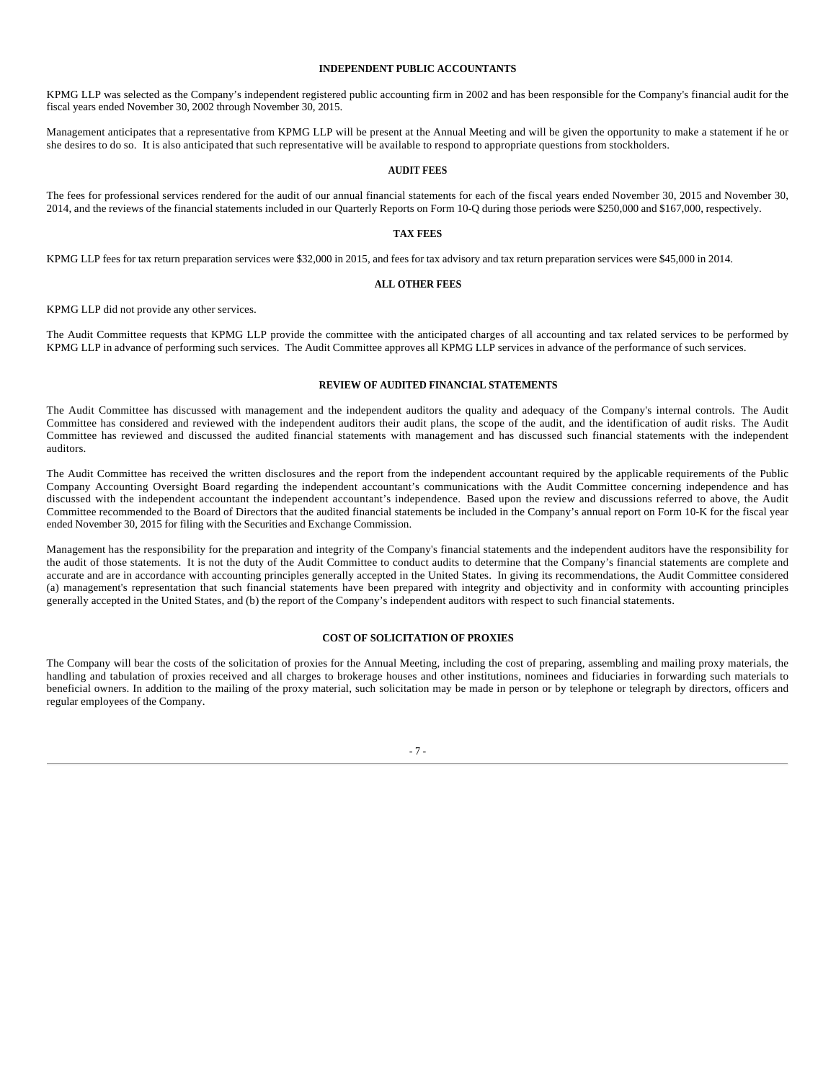# **INDEPENDENT PUBLIC ACCOUNTANTS**

KPMG LLP was selected as the Company's independent registered public accounting firm in 2002 and has been responsible for the Company's financial audit for the fiscal years ended November 30, 2002 through November 30, 2015.

Management anticipates that a representative from KPMG LLP will be present at the Annual Meeting and will be given the opportunity to make a statement if he or she desires to do so. It is also anticipated that such representative will be available to respond to appropriate questions from stockholders.

### **AUDIT FEES**

The fees for professional services rendered for the audit of our annual financial statements for each of the fiscal years ended November 30, 2015 and November 30, 2014, and the reviews of the financial statements included in our Quarterly Reports on Form 10-Q during those periods were \$250,000 and \$167,000, respectively.

#### **TAX FEES**

KPMG LLP fees for tax return preparation services were \$32,000 in 2015, and fees for tax advisory and tax return preparation services were \$45,000 in 2014.

#### **ALL OTHER FEES**

KPMG LLP did not provide any other services.

The Audit Committee requests that KPMG LLP provide the committee with the anticipated charges of all accounting and tax related services to be performed by KPMG LLP in advance of performing such services. The Audit Committee approves all KPMG LLP services in advance of the performance of such services.

#### **REVIEW OF AUDITED FINANCIAL STATEMENTS**

The Audit Committee has discussed with management and the independent auditors the quality and adequacy of the Company's internal controls. The Audit Committee has considered and reviewed with the independent auditors their audit plans, the scope of the audit, and the identification of audit risks. The Audit Committee has reviewed and discussed the audited financial statements with management and has discussed such financial statements with the independent auditors.

The Audit Committee has received the written disclosures and the report from the independent accountant required by the applicable requirements of the Public Company Accounting Oversight Board regarding the independent accountant's communications with the Audit Committee concerning independence and has discussed with the independent accountant the independent accountant's independence. Based upon the review and discussions referred to above, the Audit Committee recommended to the Board of Directors that the audited financial statements be included in the Company's annual report on Form 10-K for the fiscal year ended November 30, 2015 for filing with the Securities and Exchange Commission.

Management has the responsibility for the preparation and integrity of the Company's financial statements and the independent auditors have the responsibility for the audit of those statements. It is not the duty of the Audit Committee to conduct audits to determine that the Company's financial statements are complete and accurate and are in accordance with accounting principles generally accepted in the United States. In giving its recommendations, the Audit Committee considered (a) management's representation that such financial statements have been prepared with integrity and objectivity and in conformity with accounting principles generally accepted in the United States, and (b) the report of the Company's independent auditors with respect to such financial statements.

# **COST OF SOLICITATION OF PROXIES**

The Company will bear the costs of the solicitation of proxies for the Annual Meeting, including the cost of preparing, assembling and mailing proxy materials, the handling and tabulation of proxies received and all charges to brokerage houses and other institutions, nominees and fiduciaries in forwarding such materials to beneficial owners. In addition to the mailing of the proxy material, such solicitation may be made in person or by telephone or telegraph by directors, officers and regular employees of the Company.

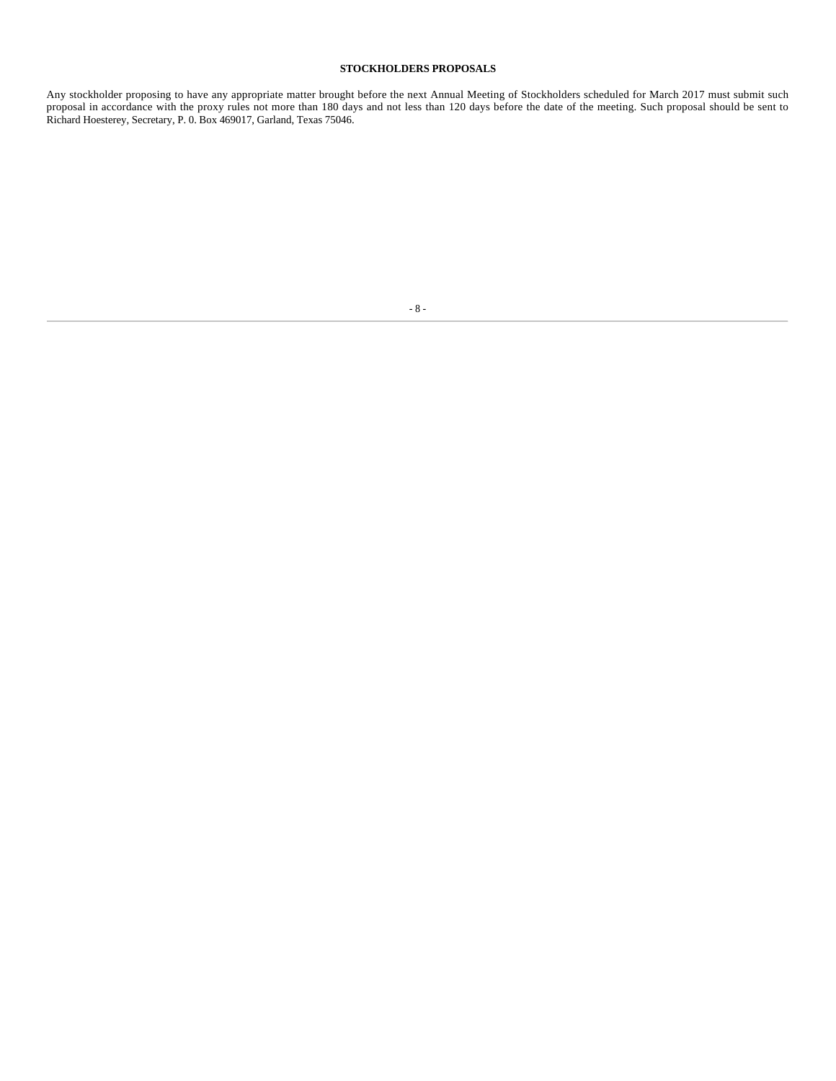# **STOCKHOLDERS PROPOSALS**

Any stockholder proposing to have any appropriate matter brought before the next Annual Meeting of Stockholders scheduled for March 2017 must submit such proposal in accordance with the proxy rules not more than 180 days and not less than 120 days before the date of the meeting. Such proposal should be sent to Richard Hoesterey, Secretary, P. 0. Box 469017, Garland, Texas 75046.